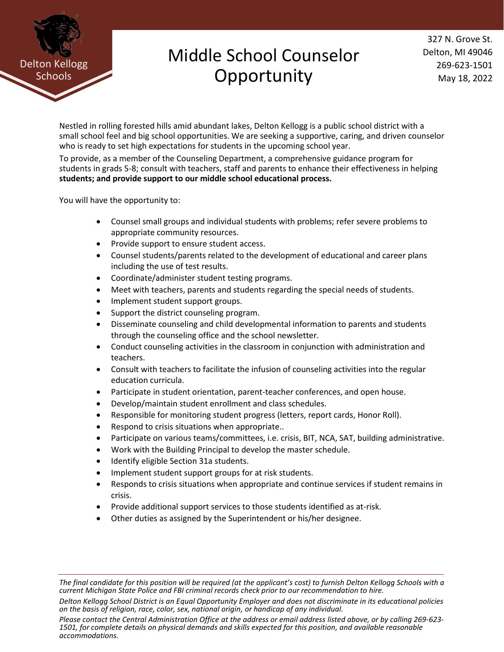

## Middle School Counselor **Opportunity**

327 N. Grove St. Delton, MI 49046 269-623-1501 May 18, 2022

Nestled in rolling forested hills amid abundant lakes, Delton Kellogg is a public school district with a small school feel and big school opportunities. We are seeking a supportive, caring, and driven counselor who is ready to set high expectations for students in the upcoming school year.

To provide, as a member of the Counseling Department, a comprehensive guidance program for students in grads 5-8; consult with teachers, staff and parents to enhance their effectiveness in helping **students; and provide support to our middle school educational process.**

You will have the opportunity to:

- Counsel small groups and individual students with problems; refer severe problems to appropriate community resources.
- Provide support to ensure student access.
- Counsel students/parents related to the development of educational and career plans including the use of test results.
- Coordinate/administer student testing programs.
- Meet with teachers, parents and students regarding the special needs of students.
- Implement student support groups.
- Support the district counseling program.
- Disseminate counseling and child developmental information to parents and students through the counseling office and the school newsletter.
- Conduct counseling activities in the classroom in conjunction with administration and teachers.
- Consult with teachers to facilitate the infusion of counseling activities into the regular education curricula.
- Participate in student orientation, parent-teacher conferences, and open house.
- Develop/maintain student enrollment and class schedules.
- Responsible for monitoring student progress (letters, report cards, Honor Roll).
- Respond to crisis situations when appropriate..
- Participate on various teams/committees, i.e. crisis, BIT, NCA, SAT, building administrative.
- Work with the Building Principal to develop the master schedule.
- Identify eligible Section 31a students.
- Implement student support groups for at risk students.
- Responds to crisis situations when appropriate and continue services if student remains in crisis.
- Provide additional support services to those students identified as at-risk.
- Other duties as assigned by the Superintendent or his/her designee.

*Please contact the Central Administration Office at the address or email address listed above, or by calling 269-623- 1501, for complete details on physical demands and skills expected for this position, and available reasonable accommodations.*

*The final candidate for this position will be required (at the applicant's cost) to furnish Delton Kellogg Schools with a current Michigan State Police and FBI criminal records check prior to our recommendation to hire.*

*Delton Kellogg School District is an Equal Opportunity Employer and does not discriminate in its educational policies on the basis of religion, race, color, sex, national origin, or handicap of any individual.*